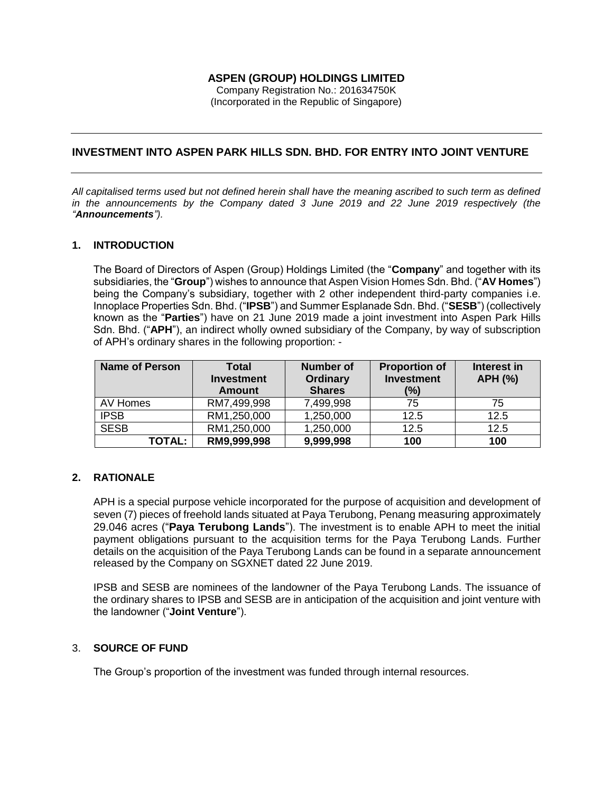# **ASPEN (GROUP) HOLDINGS LIMITED**

Company Registration No.: 201634750K (Incorporated in the Republic of Singapore)

# **INVESTMENT INTO ASPEN PARK HILLS SDN. BHD. FOR ENTRY INTO JOINT VENTURE**

*All capitalised terms used but not defined herein shall have the meaning ascribed to such term as defined in the announcements by the Company dated 3 June 2019 and 22 June 2019 respectively (the "Announcements").*

## **1. INTRODUCTION**

The Board of Directors of Aspen (Group) Holdings Limited (the "**Company**" and together with its subsidiaries, the "**Group**") wishes to announce that Aspen Vision Homes Sdn. Bhd. ("**AV Homes**") being the Company's subsidiary, together with 2 other independent third-party companies i.e. Innoplace Properties Sdn. Bhd. ("**IPSB**") and Summer Esplanade Sdn. Bhd. ("**SESB**") (collectively known as the "**Parties**") have on 21 June 2019 made a joint investment into Aspen Park Hills Sdn. Bhd. ("**APH**"), an indirect wholly owned subsidiary of the Company, by way of subscription of APH's ordinary shares in the following proportion: -

| Name of Person | <b>Total</b><br><b>Investment</b><br><b>Amount</b> | Number of<br><b>Ordinary</b><br><b>Shares</b> | <b>Proportion of</b><br><b>Investment</b><br>(%) | Interest in<br><b>APH (%)</b> |
|----------------|----------------------------------------------------|-----------------------------------------------|--------------------------------------------------|-------------------------------|
| AV Homes       | RM7,499,998                                        | 7,499,998                                     | 75                                               | 75                            |
| <b>IPSB</b>    | RM1,250,000                                        | 1,250,000                                     | 12.5                                             | 12.5                          |
| <b>SESB</b>    | RM1,250,000                                        | 1,250,000                                     | 12.5                                             | 12.5                          |
| <b>TOTAL:</b>  | RM9,999,998                                        | 9,999,998                                     | 100                                              | 100                           |

## **2. RATIONALE**

APH is a special purpose vehicle incorporated for the purpose of acquisition and development of seven (7) pieces of freehold lands situated at Paya Terubong, Penang measuring approximately 29.046 acres ("**Paya Terubong Lands**"). The investment is to enable APH to meet the initial payment obligations pursuant to the acquisition terms for the Paya Terubong Lands. Further details on the acquisition of the Paya Terubong Lands can be found in a separate announcement released by the Company on SGXNET dated 22 June 2019.

IPSB and SESB are nominees of the landowner of the Paya Terubong Lands. The issuance of the ordinary shares to IPSB and SESB are in anticipation of the acquisition and joint venture with the landowner ("**Joint Venture**").

## 3. **SOURCE OF FUND**

The Group's proportion of the investment was funded through internal resources.